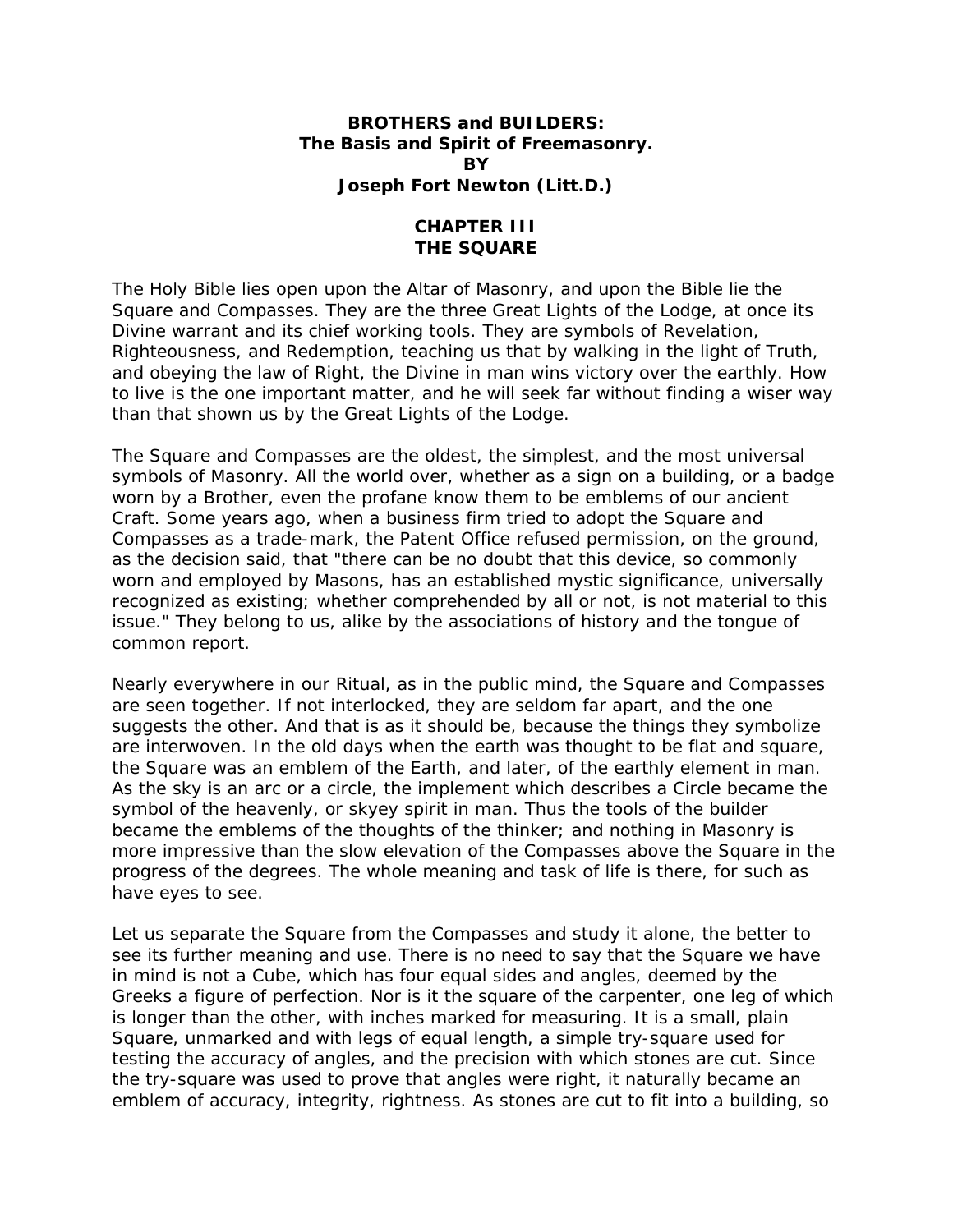## **BROTHERS and BUILDERS: The Basis and Spirit of Freemasonry. BY Joseph Fort Newton (Litt.D.)**

## **CHAPTER III THE SQUARE**

The Holy Bible lies open upon the Altar of Masonry, and upon the Bible lie the Square and Compasses. They are the three Great Lights of the Lodge, at once its Divine warrant and its chief working tools. They are symbols of Revelation, Righteousness, and Redemption, teaching us that by walking in the light of Truth, and obeying the law of Right, the Divine in man wins victory over the earthly. How to live is the one important matter, and he will seek far without finding a wiser way than that shown us by the Great Lights of the Lodge.

The Square and Compasses are the oldest, the simplest, and the most universal symbols of Masonry. All the world over, whether as a sign on a building, or a badge worn by a Brother, even the profane know them to be emblems of our ancient Craft. Some years ago, when a business firm tried to adopt the Square and Compasses as a trade-mark, the Patent Office refused permission, on the ground, as the decision said, that "there can be no doubt that this device, so commonly worn and employed by Masons, has an established mystic significance, universally recognized as existing; whether comprehended by all or not, is not material to this issue." They belong to us, alike by the associations of history and the tongue of common report.

Nearly everywhere in our Ritual, as in the public mind, the Square and Compasses are seen together. If not interlocked, they are seldom far apart, and the one suggests the other. And that is as it should be, because the things they symbolize are interwoven. In the old days when the earth was thought to be flat and square, the Square was an emblem of the Earth, and later, of the earthly element in man. As the sky is an arc or a circle, the implement which describes a Circle became the symbol of the heavenly, or skyey spirit in man. Thus the tools of the builder became the emblems of the thoughts of the thinker; and nothing in Masonry is more impressive than the slow elevation of the Compasses above the Square in the progress of the degrees. The whole meaning and task of life is there, for such as have eyes to see.

Let us separate the Square from the Compasses and study it alone, the better to see its further meaning and use. There is no need to say that the Square we have in mind is not a Cube, which has four equal sides and angles, deemed by the Greeks a figure of perfection. Nor is it the square of the carpenter, one leg of which is longer than the other, with inches marked for measuring. It is a small, plain Square, unmarked and with legs of equal length, a simple try-square used for testing the accuracy of angles, and the precision with which stones are cut. Since the try-square was used to prove that angles were right, it naturally became an emblem of accuracy, integrity, rightness. As stones are cut to fit into a building, so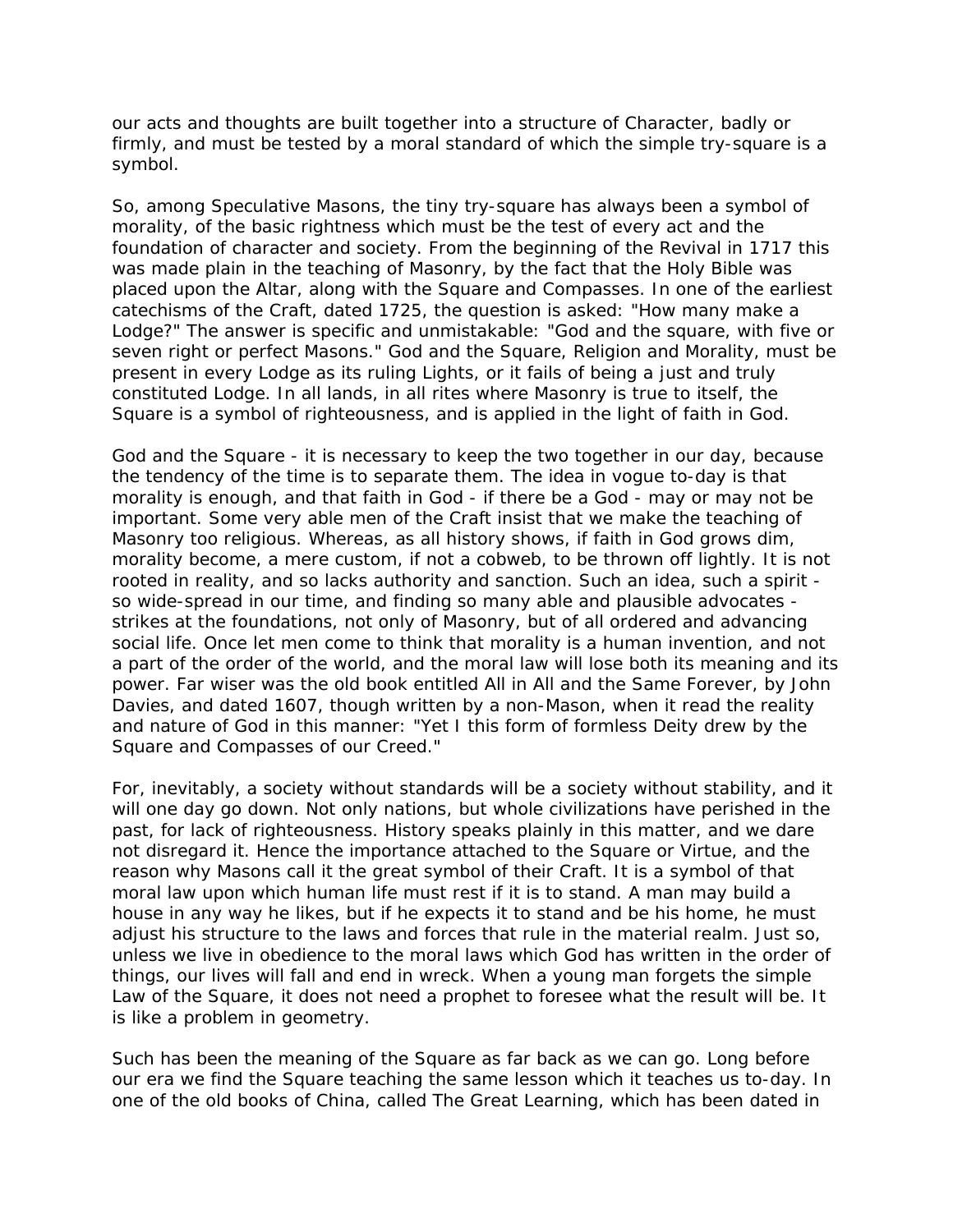our acts and thoughts are built together into a structure of Character, badly or firmly, and must be tested by a moral standard of which the simple try-square is a symbol.

So, among Speculative Masons, the tiny try-square has always been a symbol of morality, of the basic rightness which must be the test of every act and the foundation of character and society. From the beginning of the Revival in 1717 this was made plain in the teaching of Masonry, by the fact that the Holy Bible was placed upon the Altar, along with the Square and Compasses. In one of the earliest catechisms of the Craft, dated 1725, the question is asked: "How many make a Lodge?" The answer is specific and unmistakable: "God and the square, with five or seven right or perfect Masons." God and the Square, Religion and Morality, must be present in every Lodge as its ruling Lights, or it fails of being a just and truly constituted Lodge. In all lands, in all rites where Masonry is true to itself, the Square is a symbol of righteousness, and is applied in the light of faith in God.

God and the Square - it is necessary to keep the two together in our day, because the tendency of the time is to separate them. The idea in vogue to-day is that morality is enough, and that faith in God - if there be a God - may or may not be important. Some very able men of the Craft insist that we make the teaching of Masonry too religious. Whereas, as all history shows, if faith in God grows dim, morality become, a mere custom, if not a cobweb, to be thrown off lightly. It is not rooted in reality, and so lacks authority and sanction. Such an idea, such a spirit so wide-spread in our time, and finding so many able and plausible advocates strikes at the foundations, not only of Masonry, but of all ordered and advancing social life. Once let men come to think that morality is a human invention, and not a part of the order of the world, and the moral law will lose both its meaning and its power. Far wiser was the old book entitled All in All and the Same Forever, by John Davies, and dated 1607, though written by a non-Mason, when it read the reality and nature of God in this manner: "Yet I this form of formless Deity drew by the Square and Compasses of our Creed."

For, inevitably, a society without standards will be a society without stability, and it will one day go down. Not only nations, but whole civilizations have perished in the past, for lack of righteousness. History speaks plainly in this matter, and we dare not disregard it. Hence the importance attached to the Square or Virtue, and the reason why Masons call it the great symbol of their Craft. It is a symbol of that moral law upon which human life must rest if it is to stand. A man may build a house in any way he likes, but if he expects it to stand and be his home, he must adjust his structure to the laws and forces that rule in the material realm. Just so, unless we live in obedience to the moral laws which God has written in the order of things, our lives will fall and end in wreck. When a young man forgets the simple Law of the Square, it does not need a prophet to foresee what the result will be. It is like a problem in geometry.

Such has been the meaning of the Square as far back as we can go. Long before our era we find the Square teaching the same lesson which it teaches us to-day. In one of the old books of China, called The Great Learning, which has been dated in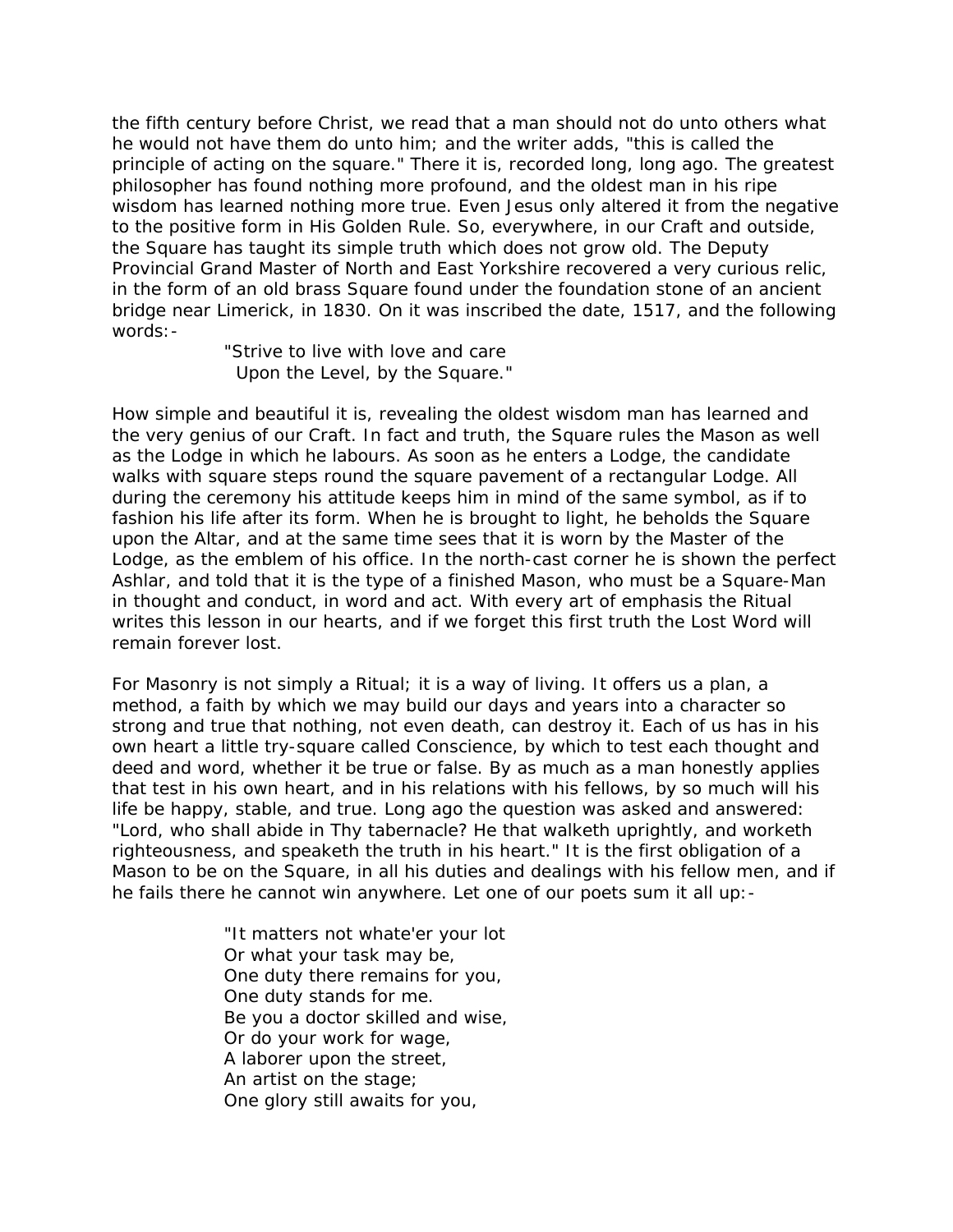the fifth century before Christ, we read that a man should not do unto others what he would not have them do unto him; and the writer adds, "this is called the principle of acting on the square." There it is, recorded long, long ago. The greatest philosopher has found nothing more profound, and the oldest man in his ripe wisdom has learned nothing more true. Even Jesus only altered it from the negative to the positive form in His Golden Rule. So, everywhere, in our Craft and outside, the Square has taught its simple truth which does not grow old. The Deputy Provincial Grand Master of North and East Yorkshire recovered a very curious relic, in the form of an old brass Square found under the foundation stone of an ancient bridge near Limerick, in 1830. On it was inscribed the date, 1517, and the following words:-

> "Strive to live with love and care Upon the Level, by the Square."

How simple and beautiful it is, revealing the oldest wisdom man has learned and the very genius of our Craft. In fact and truth, the Square rules the Mason as well as the Lodge in which he labours. As soon as he enters a Lodge, the candidate walks with square steps round the square pavement of a rectangular Lodge. All during the ceremony his attitude keeps him in mind of the same symbol, as if to fashion his life after its form. When he is brought to light, he beholds the Square upon the Altar, and at the same time sees that it is worn by the Master of the Lodge, as the emblem of his office. In the north-cast corner he is shown the perfect Ashlar, and told that it is the type of a finished Mason, who must be a Square-Man in thought and conduct, in word and act. With every art of emphasis the Ritual writes this lesson in our hearts, and if we forget this first truth the Lost Word will remain forever lost.

For Masonry is not simply a Ritual; it is a way of living. It offers us a plan, a method, a faith by which we may build our days and years into a character so strong and true that nothing, not even death, can destroy it. Each of us has in his own heart a little try-square called Conscience, by which to test each thought and deed and word, whether it be true or false. By as much as a man honestly applies that test in his own heart, and in his relations with his fellows, by so much will his life be happy, stable, and true. Long ago the question was asked and answered: "Lord, who shall abide in Thy tabernacle? He that walketh uprightly, and worketh righteousness, and speaketh the truth in his heart." It is the first obligation of a Mason to be on the Square, in all his duties and dealings with his fellow men, and if he fails there he cannot win anywhere. Let one of our poets sum it all up:-

> "It matters not whate'er your lot Or what your task may be, One duty there remains for you, One duty stands for me. Be you a doctor skilled and wise, Or do your work for wage, A laborer upon the street, An artist on the stage; One glory still awaits for you,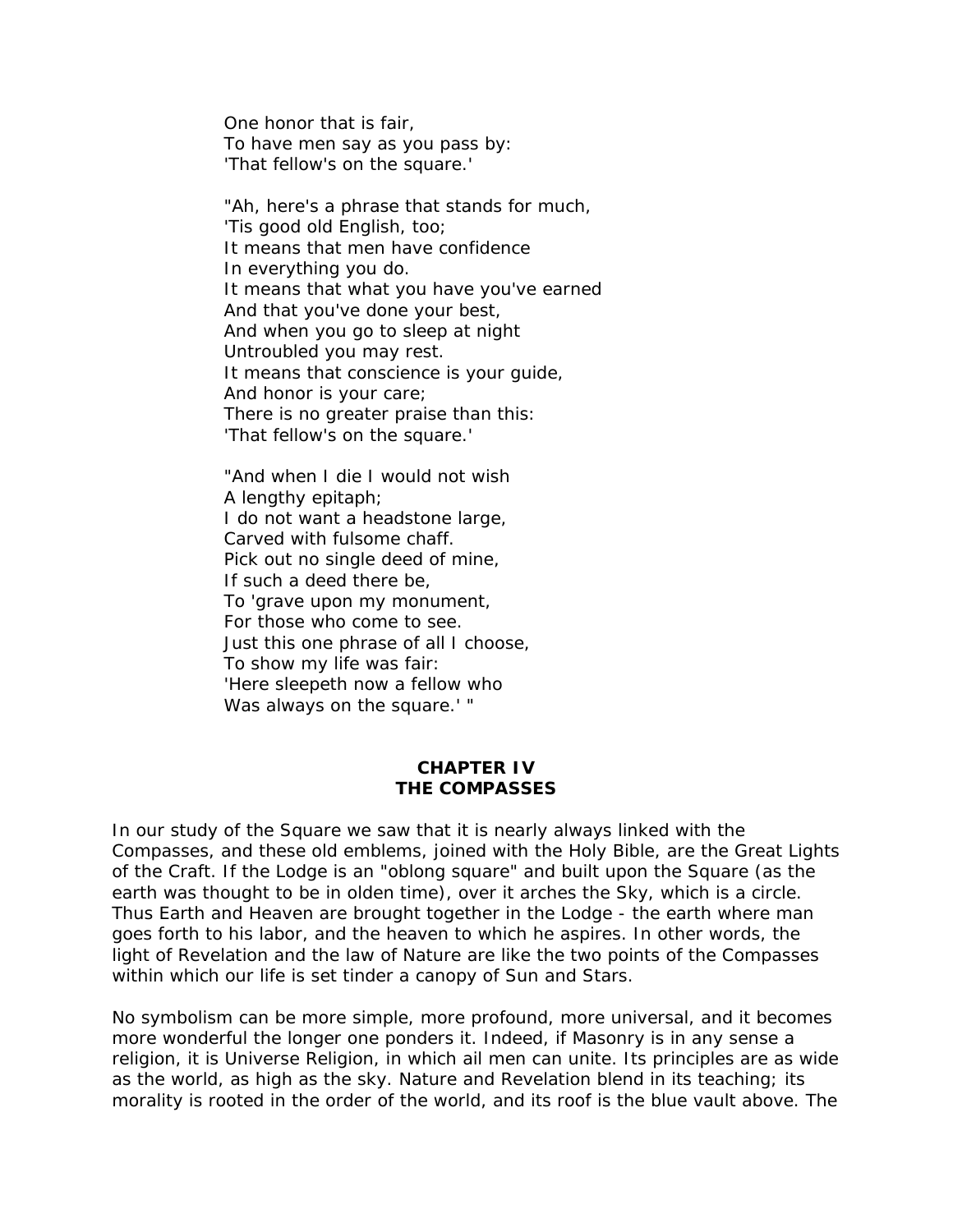One honor that is fair, To have men say as you pass by: 'That fellow's on the square.'

"Ah, here's a phrase that stands for much, 'Tis good old English, too; It means that men have confidence In everything you do. It means that what you have you've earned And that you've done your best, And when you go to sleep at night Untroubled you may rest. It means that conscience is your guide, And honor is your care; There is no greater praise than this: 'That fellow's on the square.'

"And when I die I would not wish A lengthy epitaph; I do not want a headstone large, Carved with fulsome chaff. Pick out no single deed of mine, If such a deed there be, To 'grave upon my monument, For those who come to see. Just this one phrase of all I choose, To show my life was fair: 'Here sleepeth now a fellow who Was always on the square.' "

## **CHAPTER IV THE COMPASSES**

In our study of the Square we saw that it is nearly always linked with the Compasses, and these old emblems, joined with the Holy Bible, are the Great Lights of the Craft. If the Lodge is an "oblong square" and built upon the Square (as the earth was thought to be in olden time), over it arches the Sky, which is a circle. Thus Earth and Heaven are brought together in the Lodge - the earth where man goes forth to his labor, and the heaven to which he aspires. In other words, the light of Revelation and the law of Nature are like the two points of the Compasses within which our life is set tinder a canopy of Sun and Stars.

No symbolism can be more simple, more profound, more universal, and it becomes more wonderful the longer one ponders it. Indeed, if Masonry is in any sense a religion, it is Universe Religion, in which ail men can unite. Its principles are as wide as the world, as high as the sky. Nature and Revelation blend in its teaching; its morality is rooted in the order of the world, and its roof is the blue vault above. The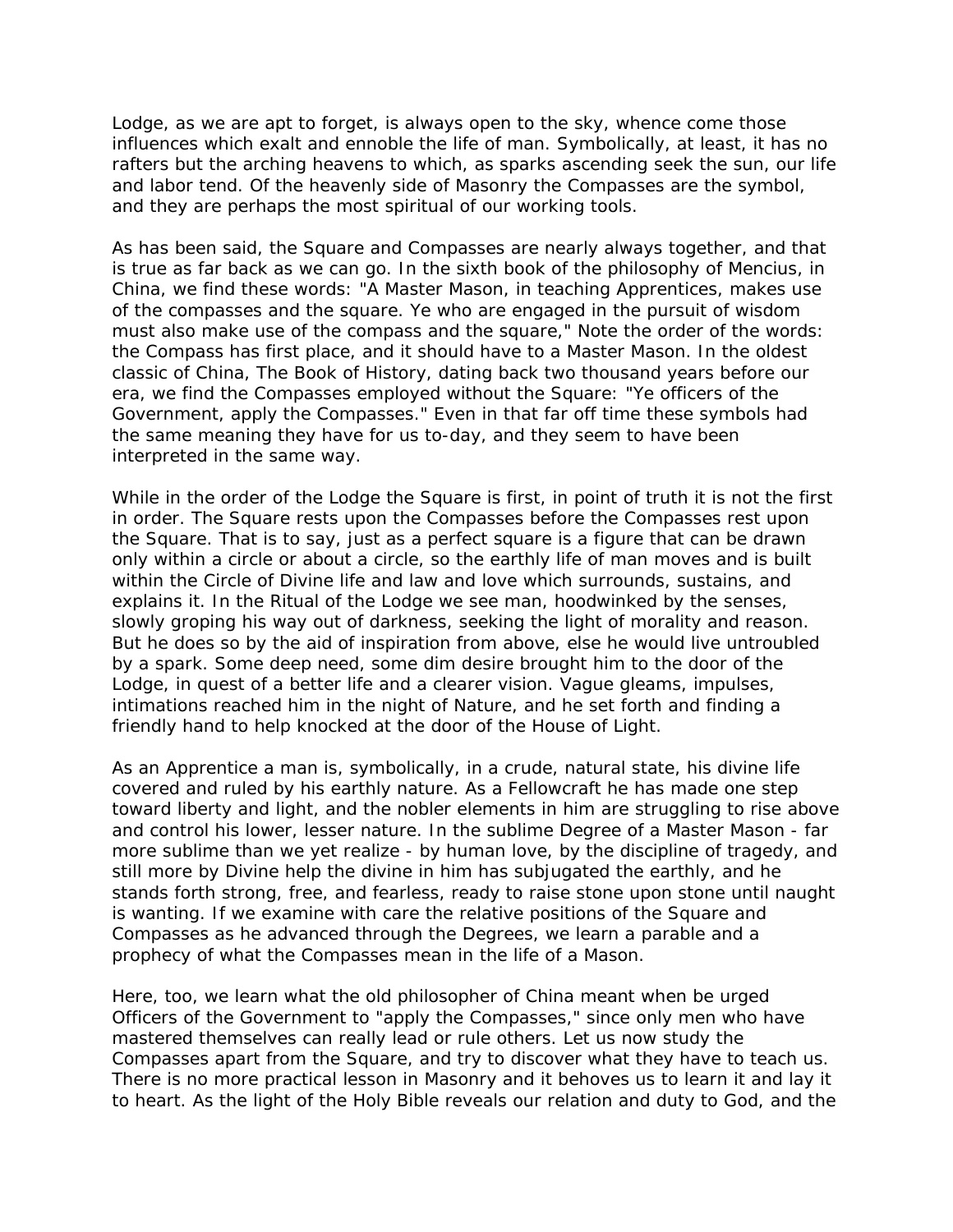Lodge, as we are apt to forget, is always open to the sky, whence come those influences which exalt and ennoble the life of man. Symbolically, at least, it has no rafters but the arching heavens to which, as sparks ascending seek the sun, our life and labor tend. Of the heavenly side of Masonry the Compasses are the symbol, and they are perhaps the most spiritual of our working tools.

As has been said, the Square and Compasses are nearly always together, and that is true as far back as we can go. In the sixth book of the philosophy of Mencius, in China, we find these words: "A Master Mason, in teaching Apprentices, makes use of the compasses and the square. Ye who are engaged in the pursuit of wisdom must also make use of the compass and the square," Note the order of the words: the Compass has first place, and it should have to a Master Mason. In the oldest classic of China, The Book of History, dating back two thousand years before our era, we find the Compasses employed without the Square: "Ye officers of the Government, apply the Compasses." Even in that far off time these symbols had the same meaning they have for us to-day, and they seem to have been interpreted in the same way.

While in the order of the Lodge the Square is first, in point of truth it is not the first in order. The Square rests upon the Compasses before the Compasses rest upon the Square. That is to say, just as a perfect square is a figure that can be drawn only within a circle or about a circle, so the earthly life of man moves and is built within the Circle of Divine life and law and love which surrounds, sustains, and explains it. In the Ritual of the Lodge we see man, hoodwinked by the senses, slowly groping his way out of darkness, seeking the light of morality and reason. But he does so by the aid of inspiration from above, else he would live untroubled by a spark. Some deep need, some dim desire brought him to the door of the Lodge, in quest of a better life and a clearer vision. Vague gleams, impulses, intimations reached him in the night of Nature, and he set forth and finding a friendly hand to help knocked at the door of the House of Light.

As an Apprentice a man is, symbolically, in a crude, natural state, his divine life covered and ruled by his earthly nature. As a Fellowcraft he has made one step toward liberty and light, and the nobler elements in him are struggling to rise above and control his lower, lesser nature. In the sublime Degree of a Master Mason - far more sublime than we yet realize - by human love, by the discipline of tragedy, and still more by Divine help the divine in him has subjugated the earthly, and he stands forth strong, free, and fearless, ready to raise stone upon stone until naught is wanting. If we examine with care the relative positions of the Square and Compasses as he advanced through the Degrees, we learn a parable and a prophecy of what the Compasses mean in the life of a Mason.

Here, too, we learn what the old philosopher of China meant when be urged Officers of the Government to "apply the Compasses," since only men who have mastered themselves can really lead or rule others. Let us now study the Compasses apart from the Square, and try to discover what they have to teach us. There is no more practical lesson in Masonry and it behoves us to learn it and lay it to heart. As the light of the Holy Bible reveals our relation and duty to God, and the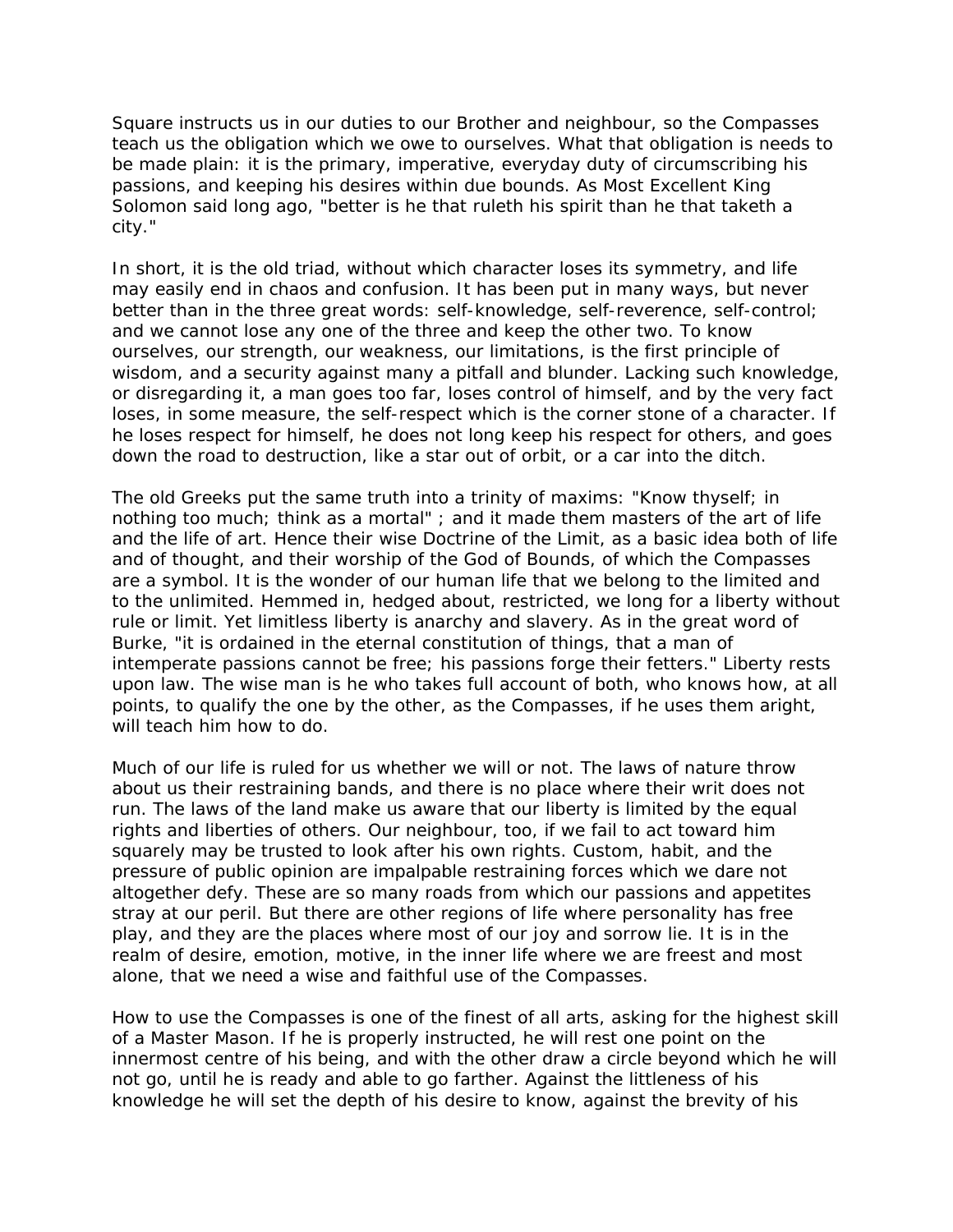Square instructs us in our duties to our Brother and neighbour, so the Compasses teach us the obligation which we owe to ourselves. What that obligation is needs to be made plain: it is the primary, imperative, everyday duty of circumscribing his passions, and keeping his desires within due bounds. As Most Excellent King Solomon said long ago, "better is he that ruleth his spirit than he that taketh a city."

In short, it is the old triad, without which character loses its symmetry, and life may easily end in chaos and confusion. It has been put in many ways, but never better than in the three great words: self-knowledge, self-reverence, self-control; and we cannot lose any one of the three and keep the other two. To know ourselves, our strength, our weakness, our limitations, is the first principle of wisdom, and a security against many a pitfall and blunder. Lacking such knowledge, or disregarding it, a man goes too far, loses control of himself, and by the very fact loses, in some measure, the self-respect which is the corner stone of a character. If he loses respect for himself, he does not long keep his respect for others, and goes down the road to destruction, like a star out of orbit, or a car into the ditch.

The old Greeks put the same truth into a trinity of maxims: "Know thyself; in nothing too much; think as a mortal" ; and it made them masters of the art of life and the life of art. Hence their wise Doctrine of the Limit, as a basic idea both of life and of thought, and their worship of the God of Bounds, of which the Compasses are a symbol. It is the wonder of our human life that we belong to the limited and to the unlimited. Hemmed in, hedged about, restricted, we long for a liberty without rule or limit. Yet limitless liberty is anarchy and slavery. As in the great word of Burke, "it is ordained in the eternal constitution of things, that a man of intemperate passions cannot be free; his passions forge their fetters." Liberty rests upon law. The wise man is he who takes full account of both, who knows how, at all points, to qualify the one by the other, as the Compasses, if he uses them aright, will teach him how to do.

Much of our life is ruled for us whether we will or not. The laws of nature throw about us their restraining bands, and there is no place where their writ does not run. The laws of the land make us aware that our liberty is limited by the equal rights and liberties of others. Our neighbour, too, if we fail to act toward him squarely may be trusted to look after his own rights. Custom, habit, and the pressure of public opinion are impalpable restraining forces which we dare not altogether defy. These are so many roads from which our passions and appetites stray at our peril. But there are other regions of life where personality has free play, and they are the places where most of our joy and sorrow lie. It is in the realm of desire, emotion, motive, in the inner life where we are freest and most alone, that we need a wise and faithful use of the Compasses.

How to use the Compasses is one of the finest of all arts, asking for the highest skill of a Master Mason. If he is properly instructed, he will rest one point on the innermost centre of his being, and with the other draw a circle beyond which he will not go, until he is ready and able to go farther. Against the littleness of his knowledge he will set the depth of his desire to know, against the brevity of his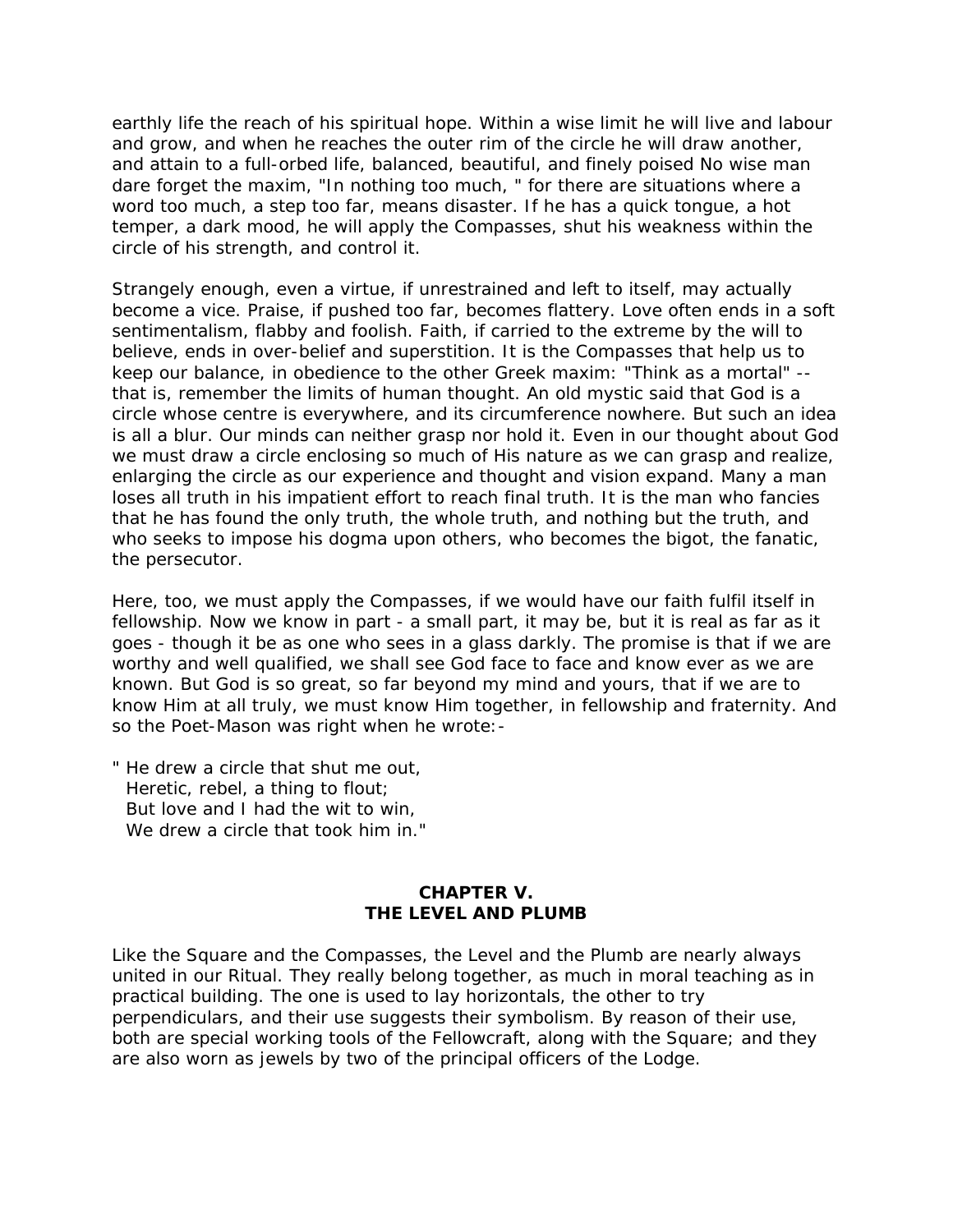earthly life the reach of his spiritual hope. Within a wise limit he will live and labour and grow, and when he reaches the outer rim of the circle he will draw another, and attain to a full-orbed life, balanced, beautiful, and finely poised No wise man dare forget the maxim, "In nothing too much, " for there are situations where a word too much, a step too far, means disaster. If he has a quick tongue, a hot temper, a dark mood, he will apply the Compasses, shut his weakness within the circle of his strength, and control it.

Strangely enough, even a virtue, if unrestrained and left to itself, may actually become a vice. Praise, if pushed too far, becomes flattery. Love often ends in a soft sentimentalism, flabby and foolish. Faith, if carried to the extreme by the will to believe, ends in over-belief and superstition. It is the Compasses that help us to keep our balance, in obedience to the other Greek maxim: "Think as a mortal" - that is, remember the limits of human thought. An old mystic said that God is a circle whose centre is everywhere, and its circumference nowhere. But such an idea is all a blur. Our minds can neither grasp nor hold it. Even in our thought about God we must draw a circle enclosing so much of His nature as we can grasp and realize, enlarging the circle as our experience and thought and vision expand. Many a man loses all truth in his impatient effort to reach final truth. It is the man who fancies that he has found the only truth, the whole truth, and nothing but the truth, and who seeks to impose his dogma upon others, who becomes the bigot, the fanatic, the persecutor.

Here, too, we must apply the Compasses, if we would have our faith fulfil itself in fellowship. Now we know in part - a small part, it may be, but it is real as far as it goes - though it be as one who sees in a glass darkly. The promise is that if we are worthy and well qualified, we shall see God face to face and know ever as we are known. But God is so great, so far beyond my mind and yours, that if we are to know Him at all truly, we must know Him together, in fellowship and fraternity. And so the Poet-Mason was right when he wrote:-

" He drew a circle that shut me out, Heretic, rebel, a thing to flout; But love and I had the wit to win, We drew a circle that took him in."

## **CHAPTER V. THE LEVEL AND PLUMB**

Like the Square and the Compasses, the Level and the Plumb are nearly always united in our Ritual. They really belong together, as much in moral teaching as in practical building. The one is used to lay horizontals, the other to try perpendiculars, and their use suggests their symbolism. By reason of their use, both are special working tools of the Fellowcraft, along with the Square; and they are also worn as jewels by two of the principal officers of the Lodge.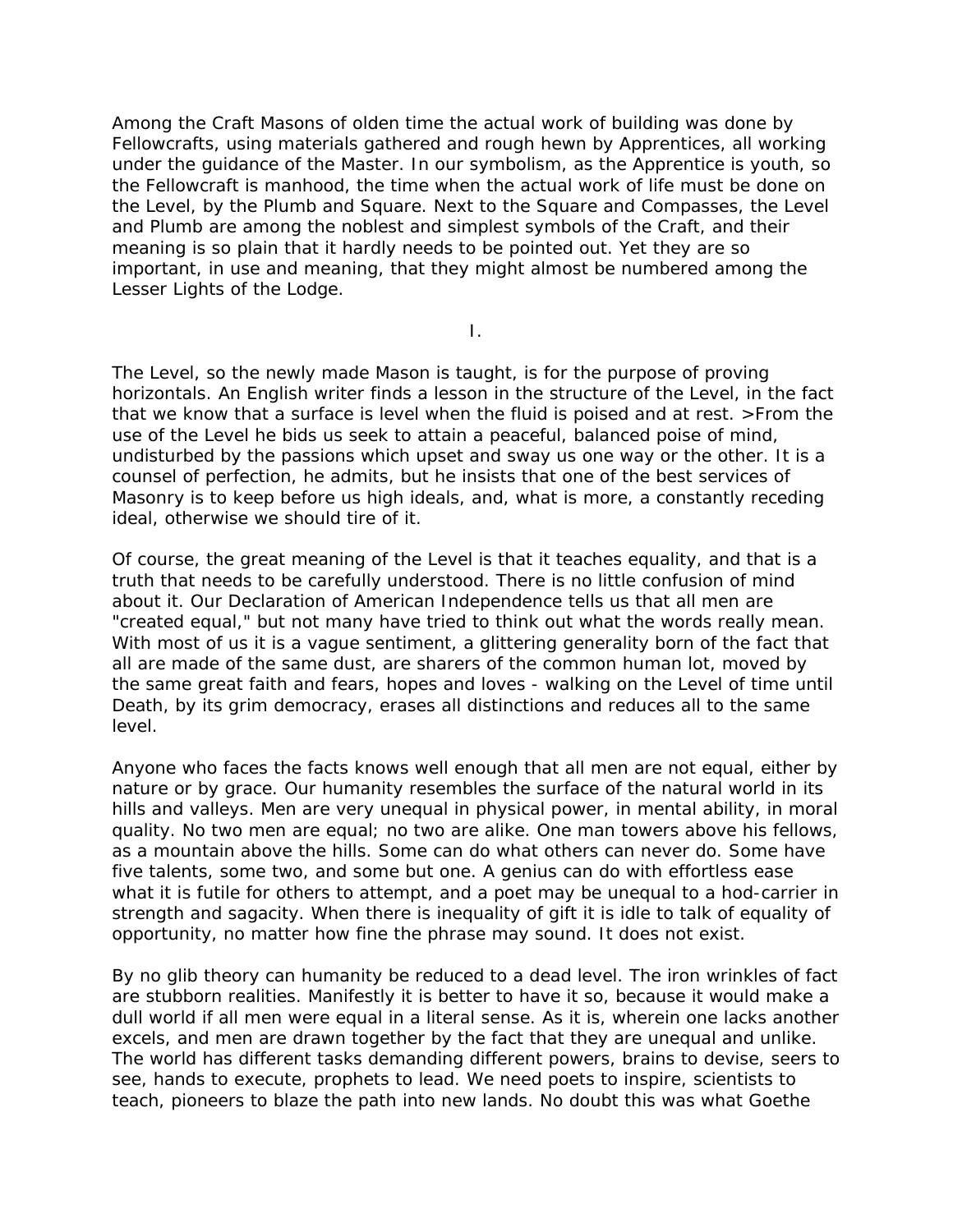Among the Craft Masons of olden time the actual work of building was done by Fellowcrafts, using materials gathered and rough hewn by Apprentices, all working under the guidance of the Master. In our symbolism, as the Apprentice is youth, so the Fellowcraft is manhood, the time when the actual work of life must be done on the Level, by the Plumb and Square. Next to the Square and Compasses, the Level and Plumb are among the noblest and simplest symbols of the Craft, and their meaning is so plain that it hardly needs to be pointed out. Yet they are so important, in use and meaning, that they might almost be numbered among the Lesser Lights of the Lodge.

I.

The Level, so the newly made Mason is taught, is for the purpose of proving horizontals. An English writer finds a lesson in the structure of the Level, in the fact that we know that a surface is level when the fluid is poised and at rest. >From the use of the Level he bids us seek to attain a peaceful, balanced poise of mind, undisturbed by the passions which upset and sway us one way or the other. It is a counsel of perfection, he admits, but he insists that one of the best services of Masonry is to keep before us high ideals, and, what is more, a constantly receding ideal, otherwise we should tire of it.

Of course, the great meaning of the Level is that it teaches equality, and that is a truth that needs to be carefully understood. There is no little confusion of mind about it. Our Declaration of American Independence tells us that all men are "created equal," but not many have tried to think out what the words really mean. With most of us it is a vague sentiment, a glittering generality born of the fact that all are made of the same dust, are sharers of the common human lot, moved by the same great faith and fears, hopes and loves - walking on the Level of time until Death, by its grim democracy, erases all distinctions and reduces all to the same level.

Anyone who faces the facts knows well enough that all men are not equal, either by nature or by grace. Our humanity resembles the surface of the natural world in its hills and valleys. Men are very unequal in physical power, in mental ability, in moral quality. No two men are equal; no two are alike. One man towers above his fellows, as a mountain above the hills. Some can do what others can never do. Some have five talents, some two, and some but one. A genius can do with effortless ease what it is futile for others to attempt, and a poet may be unequal to a hod-carrier in strength and sagacity. When there is inequality of gift it is idle to talk of equality of opportunity, no matter how fine the phrase may sound. It does not exist.

By no glib theory can humanity be reduced to a dead level. The iron wrinkles of fact are stubborn realities. Manifestly it is better to have it so, because it would make a dull world if all men were equal in a literal sense. As it is, wherein one lacks another excels, and men are drawn together by the fact that they are unequal and unlike. The world has different tasks demanding different powers, brains to devise, seers to see, hands to execute, prophets to lead. We need poets to inspire, scientists to teach, pioneers to blaze the path into new lands. No doubt this was what Goethe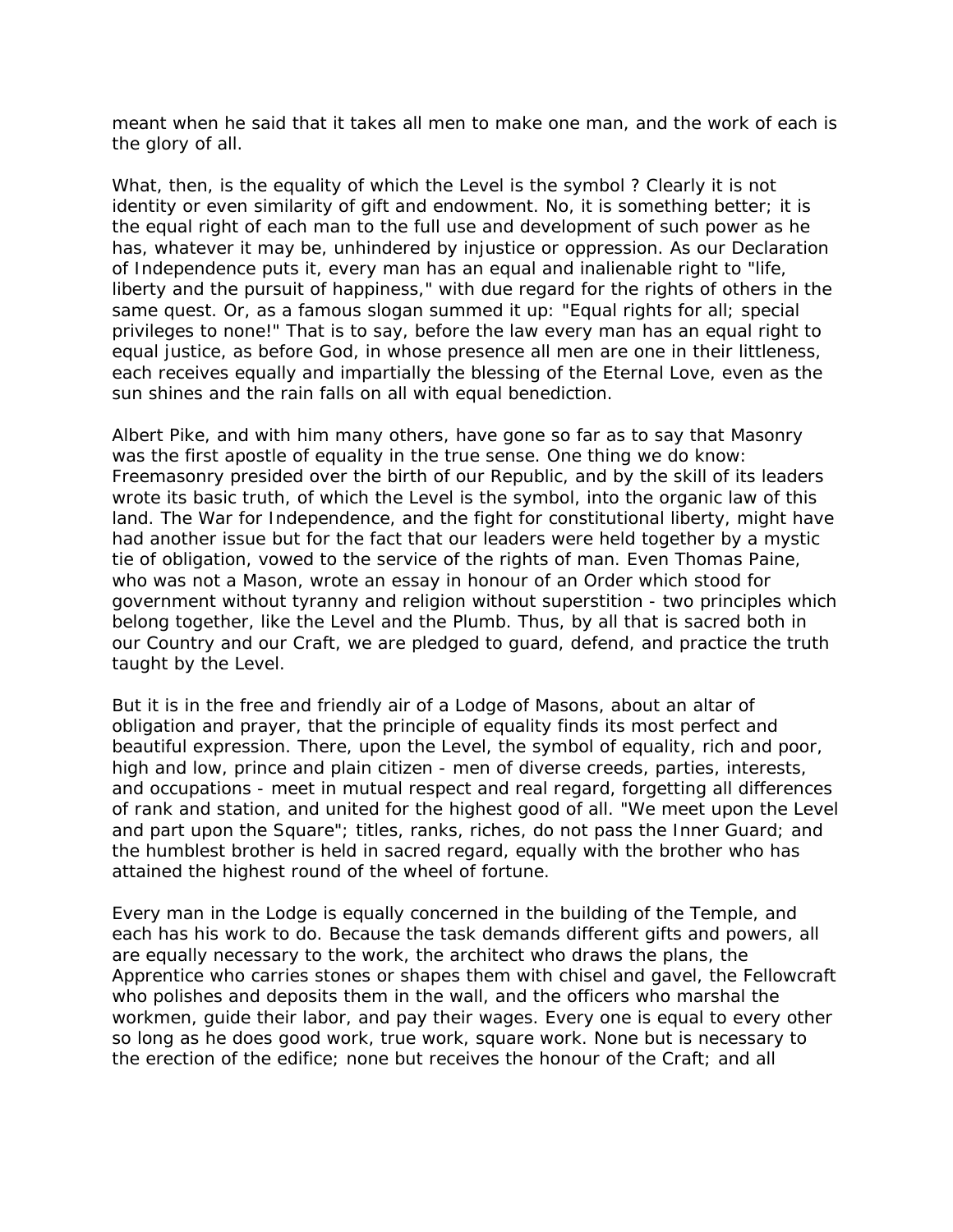meant when he said that it takes all men to make one man, and the work of each is the glory of all.

What, then, is the equality of which the Level is the symbol ? Clearly it is not identity or even similarity of gift and endowment. No, it is something better; it is the equal right of each man to the full use and development of such power as he has, whatever it may be, unhindered by injustice or oppression. As our Declaration of Independence puts it, every man has an equal and inalienable right to "life, liberty and the pursuit of happiness," with due regard for the rights of others in the same quest. Or, as a famous slogan summed it up: "Equal rights for all; special privileges to none!" That is to say, before the law every man has an equal right to equal justice, as before God, in whose presence all men are one in their littleness, each receives equally and impartially the blessing of the Eternal Love, even as the sun shines and the rain falls on all with equal benediction.

Albert Pike, and with him many others, have gone so far as to say that Masonry was the first apostle of equality in the true sense. One thing we do know: Freemasonry presided over the birth of our Republic, and by the skill of its leaders wrote its basic truth, of which the Level is the symbol, into the organic law of this land. The War for Independence, and the fight for constitutional liberty, might have had another issue but for the fact that our leaders were held together by a mystic tie of obligation, vowed to the service of the rights of man. Even Thomas Paine, who was not a Mason, wrote an essay in honour of an Order which stood for government without tyranny and religion without superstition - two principles which belong together, like the Level and the Plumb. Thus, by all that is sacred both in our Country and our Craft, we are pledged to guard, defend, and practice the truth taught by the Level.

But it is in the free and friendly air of a Lodge of Masons, about an altar of obligation and prayer, that the principle of equality finds its most perfect and beautiful expression. There, upon the Level, the symbol of equality, rich and poor, high and low, prince and plain citizen - men of diverse creeds, parties, interests, and occupations - meet in mutual respect and real regard, forgetting all differences of rank and station, and united for the highest good of all. "We meet upon the Level and part upon the Square"; titles, ranks, riches, do not pass the Inner Guard; and the humblest brother is held in sacred regard, equally with the brother who has attained the highest round of the wheel of fortune.

Every man in the Lodge is equally concerned in the building of the Temple, and each has his work to do. Because the task demands different gifts and powers, all are equally necessary to the work, the architect who draws the plans, the Apprentice who carries stones or shapes them with chisel and gavel, the Fellowcraft who polishes and deposits them in the wall, and the officers who marshal the workmen, guide their labor, and pay their wages. Every one is equal to every other so long as he does good work, true work, square work. None but is necessary to the erection of the edifice; none but receives the honour of the Craft; and all